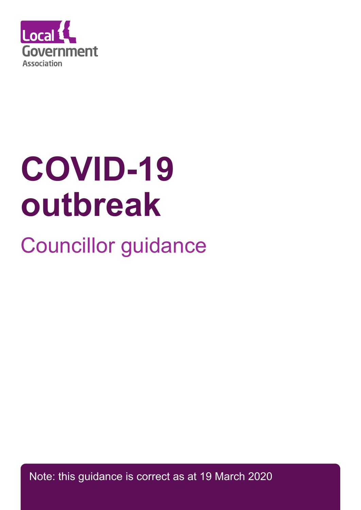

# **COVID-19 outbreak**

# Councillor guidance

Note: this guidance is correct as at 19 March 2020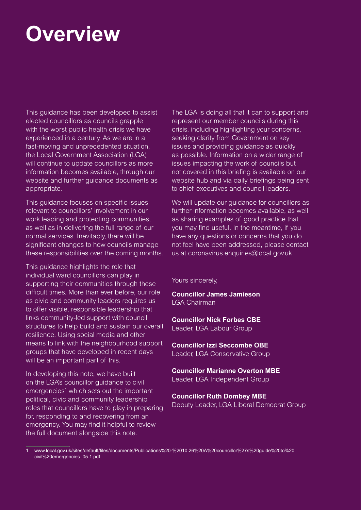# **Overview**

This guidance has been developed to assist elected councillors as councils grapple with the worst public health crisis we have experienced in a century. As we are in a fast-moving and unprecedented situation, the Local Government Association (LGA) will continue to update councillors as more information becomes available, through our website and further guidance documents as appropriate.

This guidance focuses on specific issues relevant to councillors' involvement in our work leading and protecting communities, as well as in delivering the full range of our normal services. Inevitably, there will be significant changes to how councils manage these responsibilities over the coming months.

This guidance highlights the role that individual ward councillors can play in supporting their communities through these difficult times. More than ever before, our role as civic and community leaders requires us to offer visible, responsible leadership that links community-led support with council structures to help build and sustain our overall resilience. Using social media and other means to link with the neighbourhood support groups that have developed in recent days will be an important part of this.

In developing this note, we have built on the LGA's councillor guidance to civil emergencies<sup>1</sup> which sets out the important political, civic and community leadership roles that councillors have to play in preparing for, responding to and recovering from an emergency. You may find it helpful to review the full document alongside this note.

The LGA is doing all that it can to support and represent our member councils during this crisis, including highlighting your concerns, seeking clarity from Government on key issues and providing quidance as quickly as possible. Information on a wider range of issues impacting the work of councils but not covered in this briefing is available on our website hub and via daily briefings being sent to chief executives and council leaders.

We will update our guidance for councillors as further information becomes available, as well as sharing examples of good practice that you may find useful. In the meantime, if you have any questions or concerns that you do not feel have been addressed, please contact us at coronavirus.enquiries@local.gov.uk

Yours sincerely,

**Councillor James Jamieson** LGA Chairman

**Councillor Nick Forbes CBE**

Leader, LGA Labour Group

**Councillor Izzi Seccombe OBE**

Leader, LGA Conservative Group

**Councillor Marianne Overton MBE** Leader, LGA Independent Group

**Councillor Ruth Dombey MBE** Deputy Leader, LGA Liberal Democrat Group

1 [www.local.gov.uk/sites/default/files/documents/Publications%20-%2010.26%20A%20councillor%27s%20guide%20to%20](http://www.local.gov.uk/sites/default/files/documents/Publications%20-%2010.26%20A%20councillor%27s%20guide%20to%20civil%20emergencies_05.1.pdf) [civil%20emergencies\\_05.1.pdf](http://www.local.gov.uk/sites/default/files/documents/Publications%20-%2010.26%20A%20councillor%27s%20guide%20to%20civil%20emergencies_05.1.pdf)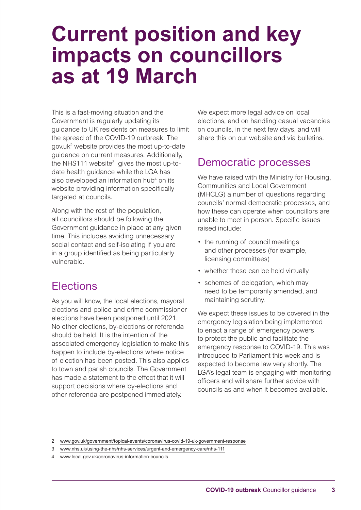# **Current position and key impacts on councillors as at 19 March**

This is a fast-moving situation and the Government is regularly updating its guidance to UK residents on measures to limit the spread of the COVID-19 outbreak. The gov.uk2 website provides the most up-to-date guidance on current measures. Additionally, the NHS111 website<sup>3</sup> gives the most up-todate health guidance while the LGA has also developed an information hub<sup>4</sup> on its website providing information specifically targeted at councils.

Along with the rest of the population, all councillors should be following the Government guidance in place at any given time. This includes avoiding unnecessary social contact and self-isolating if you are in a group identified as being particularly vulnerable.

# Elections

As you will know, the local elections, mayoral elections and police and crime commissioner elections have been postponed until 2021. No other elections, by-elections or referenda should be held. It is the intention of the associated emergency legislation to make this happen to include by-elections where notice of election has been posted. This also applies to town and parish councils. The Government has made a statement to the effect that it will support decisions where by-elections and other referenda are postponed immediately.

We expect more legal advice on local elections, and on handling casual vacancies on councils, in the next few days, and will share this on our website and via bulletins.

# Democratic processes

We have raised with the Ministry for Housing, Communities and Local Government (MHCLG) a number of questions regarding councils' normal democratic processes, and how these can operate when councillors are unable to meet in person. Specific issues raised include:

- the running of council meetings and other processes (for example, licensing committees)
- whether these can be held virtually
- schemes of delegation, which may need to be temporarily amended, and maintaining scrutiny.

We expect these issues to be covered in the emergency legislation being implemented to enact a range of emergency powers to protect the public and facilitate the emergency response to COVID-19. This was introduced to Parliament this week and is expected to become law very shortly. The LGA's legal team is engaging with monitoring officers and will share further advice with councils as and when it becomes available.

<sup>2</sup> [www.gov.uk/government/topical-events/coronavirus-covid-19-uk-government-response](http://www.gov.uk/government/topical-events/coronavirus-covid-19-uk-government-response)

<sup>3</sup> [www.nhs.uk/using-the-nhs/nhs-services/urgent-and-emergency-care/nhs-111](http://www.nhs.uk/using-the-nhs/nhs-services/urgent-and-emergency-care/nhs-111)

<sup>4</sup> [www.local.gov.uk/coronavirus-information-councils](http://www.local.gov.uk/coronavirus-information-councils)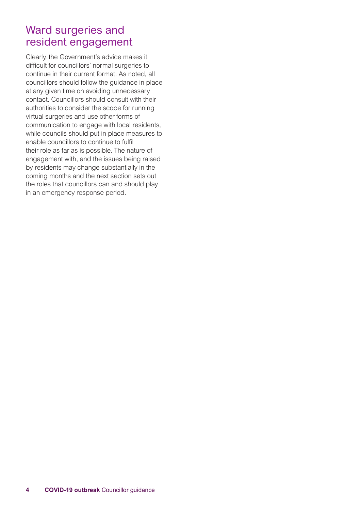# Ward surgeries and resident engagement

Clearly, the Government's advice makes it difficult for councillors' normal surgeries to continue in their current format. As noted, all councillors should follow the guidance in place at any given time on avoiding unnecessary contact. Councillors should consult with their authorities to consider the scope for running virtual surgeries and use other forms of communication to engage with local residents, while councils should put in place measures to enable councillors to continue to fulfil their role as far as is possible. The nature of engagement with, and the issues being raised by residents may change substantially in the coming months and the next section sets out the roles that councillors can and should play in an emergency response period.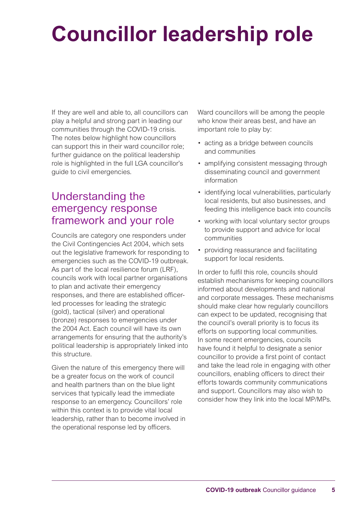# **Councillor leadership role**

If they are well and able to, all councillors can play a helpful and strong part in leading our communities through the COVID-19 crisis. The notes below highlight how councillors can support this in their ward councillor role; further guidance on the political leadership role is highlighted in the full LGA councillor's guide to civil emergencies.

# Understanding the emergency response framework and your role

Councils are category one responders under the Civil Contingencies Act 2004, which sets out the legislative framework for responding to emergencies such as the COVID-19 outbreak. As part of the local resilience forum (LRF), councils work with local partner organisations to plan and activate their emergency responses, and there are established officerled processes for leading the strategic (gold), tactical (silver) and operational (bronze) responses to emergencies under the 2004 Act. Each council will have its own arrangements for ensuring that the authority's political leadership is appropriately linked into this structure.

Given the nature of this emergency there will be a greater focus on the work of council and health partners than on the blue light services that typically lead the immediate response to an emergency. Councillors' role within this context is to provide vital local leadership, rather than to become involved in the operational response led by officers.

Ward councillors will be among the people who know their areas best, and have an important role to play by:

- acting as a bridge between councils and communities
- amplifying consistent messaging through disseminating council and government information
- identifying local vulnerabilities, particularly local residents, but also businesses, and feeding this intelligence back into councils
- working with local voluntary sector groups to provide support and advice for local communities
- providing reassurance and facilitating support for local residents.

In order to fulfil this role, councils should establish mechanisms for keeping councillors informed about developments and national and corporate messages. These mechanisms should make clear how regularly councillors can expect to be updated, recognising that the council's overall priority is to focus its efforts on supporting local communities. In some recent emergencies, councils have found it helpful to designate a senior councillor to provide a first point of contact and take the lead role in engaging with other councillors, enabling officers to direct their efforts towards community communications and support. Councillors may also wish to consider how they link into the local MP/MPs.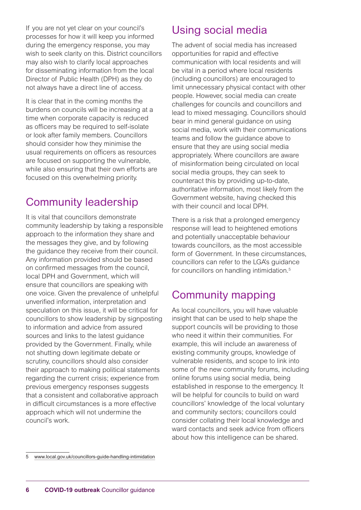If you are not yet clear on your council's processes for how it will keep you informed during the emergency response, you may wish to seek clarity on this. District councillors may also wish to clarify local approaches for disseminating information from the local Director of Public Health (DPH) as they do not always have a direct line of access.

It is clear that in the coming months the burdens on councils will be increasing at a time when corporate capacity is reduced as officers may be required to self-isolate or look after family members. Councillors should consider how they minimise the usual requirements on officers as resources are focused on supporting the vulnerable, while also ensuring that their own efforts are focused on this overwhelming priority.

# Community leadership

It is vital that councillors demonstrate community leadership by taking a responsible approach to the information they share and the messages they give, and by following the guidance they receive from their council. Any information provided should be based on confirmed messages from the council, local DPH and Government, which will ensure that councillors are speaking with one voice. Given the prevalence of unhelpful unverified information, interpretation and speculation on this issue, it will be critical for councillors to show leadership by signposting to information and advice from assured sources and links to the latest guidance provided by the Government. Finally, while not shutting down legitimate debate or scrutiny, councillors should also consider their approach to making political statements regarding the current crisis; experience from previous emergency responses suggests that a consistent and collaborative approach in difficult circumstances is a more effective approach which will not undermine the council's work.

# Using social media

The advent of social media has increased opportunities for rapid and effective communication with local residents and will be vital in a period where local residents (including councillors) are encouraged to limit unnecessary physical contact with other people. However, social media can create challenges for councils and councillors and lead to mixed messaging. Councillors should bear in mind general guidance on using social media, work with their communications teams and follow the guidance above to ensure that they are using social media appropriately. Where councillors are aware of misinformation being circulated on local social media groups, they can seek to counteract this by providing up-to-date, authoritative information, most likely from the Government website, having checked this with their council and local DPH

There is a risk that a prolonged emergency response will lead to heightened emotions and potentially unacceptable behaviour towards councillors, as the most accessible form of Government. In these circumstances, councillors can refer to the LGA's guidance for councillors on handling intimidation.<sup>5</sup>

# Community mapping

As local councillors, you will have valuable insight that can be used to help shape the support councils will be providing to those who need it within their communities. For example, this will include an awareness of existing community groups, knowledge of vulnerable residents, and scope to link into some of the new community forums, including online forums using social media, being established in response to the emergency. It will be helpful for councils to build on ward councillors' knowledge of the local voluntary and community sectors; councillors could consider collating their local knowledge and ward contacts and seek advice from officers about how this intelligence can be shared.

<sup>5</sup>  [www.local.gov.uk/councillors-guide-handling-intimidation](http://www.local.gov.uk/councillors-guide-handling-intimidation)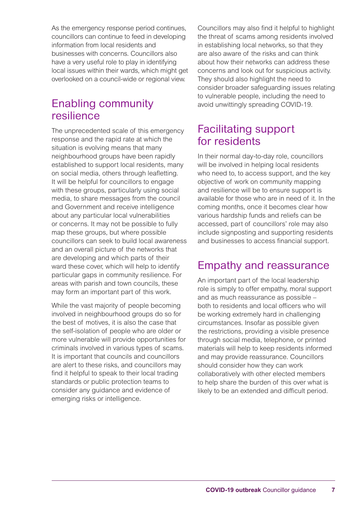As the emergency response period continues, councillors can continue to feed in developing information from local residents and businesses with concerns. Councillors also have a very useful role to play in identifying local issues within their wards, which might get overlooked on a council-wide or regional view.

# Enabling community resilience

The unprecedented scale of this emergency response and the rapid rate at which the situation is evolving means that many neighbourhood groups have been rapidly established to support local residents, many on social media, others through leafletting. It will be helpful for councillors to engage with these groups, particularly using social media, to share messages from the council and Government and receive intelligence about any particular local vulnerabilities or concerns. It may not be possible to fully map these groups, but where possible councillors can seek to build local awareness and an overall picture of the networks that are developing and which parts of their ward these cover, which will help to identify particular gaps in community resilience. For areas with parish and town councils, these may form an important part of this work.

While the vast majority of people becoming involved in neighbourhood groups do so for the best of motives, it is also the case that the self-isolation of people who are older or more vulnerable will provide opportunities for criminals involved in various types of scams. It is important that councils and councillors are alert to these risks, and councillors may find it helpful to speak to their local trading standards or public protection teams to consider any guidance and evidence of emerging risks or intelligence.

Councillors may also find it helpful to highlight the threat of scams among residents involved in establishing local networks, so that they are also aware of the risks and can think about how their networks can address these concerns and look out for suspicious activity. They should also highlight the need to consider broader safeguarding issues relating to vulnerable people, including the need to avoid unwittingly spreading COVID-19.

# Facilitating support for residents

In their normal day-to-day role, councillors will be involved in helping local residents who need to, to access support, and the key objective of work on community mapping and resilience will be to ensure support is available for those who are in need of it. In the coming months, once it becomes clear how various hardship funds and reliefs can be accessed, part of councillors' role may also include signposting and supporting residents and businesses to access financial support.

# Empathy and reassurance

An important part of the local leadership role is simply to offer empathy, moral support and as much reassurance as possible – both to residents and local officers who will be working extremely hard in challenging circumstances. Insofar as possible given the restrictions, providing a visible presence through social media, telephone, or printed materials will help to keep residents informed and may provide reassurance. Councillors should consider how they can work collaboratively with other elected members to help share the burden of this over what is likely to be an extended and difficult period.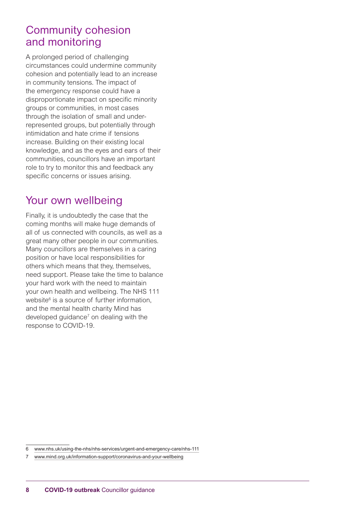### Community cohesion and monitoring

A prolonged period of challenging circumstances could undermine community cohesion and potentially lead to an increase in community tensions. The impact of the emergency response could have a disproportionate impact on specific minority groups or communities, in most cases through the isolation of small and underrepresented groups, but potentially through intimidation and hate crime if tensions increase. Building on their existing local knowledge, and as the eyes and ears of their communities, councillors have an important role to try to monitor this and feedback any specific concerns or issues arising.

# Your own wellbeing

Finally, it is undoubtedly the case that the coming months will make huge demands of all of us connected with councils, as well as a great many other people in our communities. Many councillors are themselves in a caring position or have local responsibilities for others which means that they, themselves, need support. Please take the time to balance your hard work with the need to maintain your own health and wellbeing. The NHS 111 website<sup>6</sup> is a source of further information, and the mental health charity Mind has developed guidance<sup>7</sup> on dealing with the response to COVID-19.

<sup>6</sup>  [www.nhs.uk/using-the-nhs/nhs-services/urgent-and-emergency-care/nhs-111](http://www.nhs.uk/using-the-nhs/nhs-services/urgent-and-emergency-care/nhs-111)

<sup>7</sup>  [www.mind.org.uk/information-support/coronavirus-and-your-wellbeing](http://www.mind.org.uk/information-support/coronavirus-and-your-wellbeing)